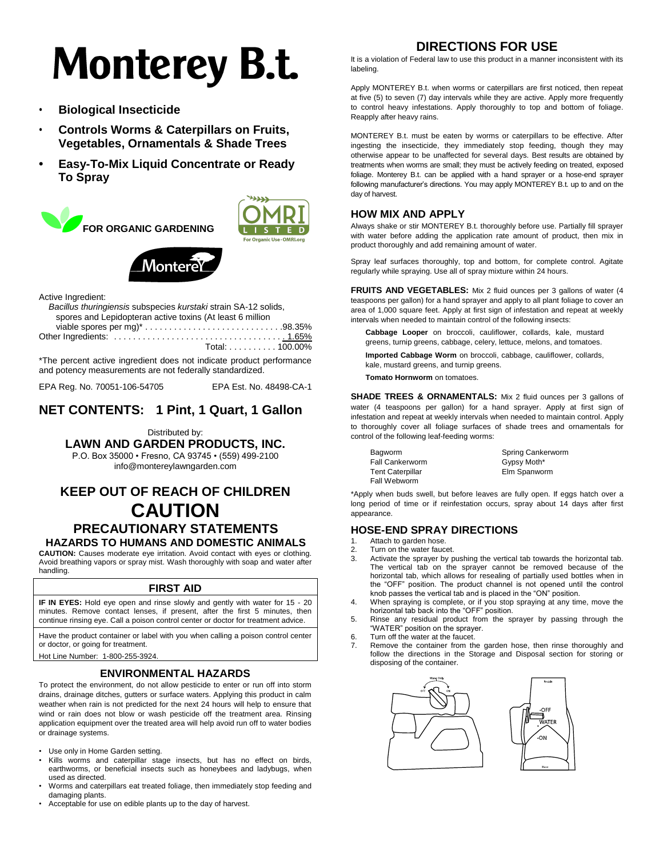# **Monterey B.t.**

- **Biological Insecticide**
- **Controls Worms & Caterpillars on Fruits, Vegetables, Ornamentals & Shade Trees**
- **• Easy-To-Mix Liquid Concentrate or Ready To Spray**







Active Ingredient:

\*The percent active ingredient does not indicate product performance and potency measurements are not federally standardized.

EPA Reg. No. 70051-106-54705 EPA Est. No. 48498-CA-1

## **NET CONTENTS: 1 Pint, 1 Quart, 1 Gallon**

Distributed by:

**LAWN AND GARDEN PRODUCTS, INC.**

P.O. Box 35000 • Fresno, CA 93745 • (559) 499-2100

[info@montereylawngarden.com](mailto:info@montereylawngarden.com)

# **KEEP OUT OF REACH OF CHILDREN CAUTION PRECAUTIONARY STATEMENTS**

### **HAZARDS TO HUMANS AND DOMESTIC ANIMALS**

**CAUTION:** Causes moderate eye irritation. Avoid contact with eyes or clothing. Avoid breathing vapors or spray mist. Wash thoroughly with soap and water after handling.

#### **FIRST AID**

**IF IN EYES:** Hold eye open and rinse slowly and gently with water for 15 - 20 minutes. Remove contact lenses, if present, after the first 5 minutes, then continue rinsing eye. Call a poison control center or doctor for treatment advice.

Have the product container or label with you when calling a poison control center or doctor, or going for treatment.

Hot Line Number: 1-800-255-3924.

#### **ENVIRONMENTAL HAZARDS**

To protect the environment, do not allow pesticide to enter or run off into storm drains, drainage ditches, gutters or surface waters. Applying this product in calm weather when rain is not predicted for the next 24 hours will help to ensure that wind or rain does not blow or wash pesticide off the treatment area. Rinsing application equipment over the treated area will help avoid run off to water bodies or drainage systems.

- Use only in Home Garden setting.
- Kills worms and caterpillar stage insects, but has no effect on birds, earthworms, or beneficial insects such as honeybees and ladybugs, when used as directed.
- Worms and caterpillars eat treated foliage, then immediately stop feeding and damaging plants.
- Acceptable for use on edible plants up to the day of harvest.

# **DIRECTIONS FOR USE**

It is a violation of Federal law to use this product in a manner inconsistent with its labeling.

Apply MONTEREY B.t. when worms or caterpillars are first noticed, then repeat at five (5) to seven (7) day intervals while they are active. Apply more frequently to control heavy infestations. Apply thoroughly to top and bottom of foliage. Reapply after heavy rains.

MONTEREY B.t. must be eaten by worms or caterpillars to be effective. After ingesting the insecticide, they immediately stop feeding, though they may otherwise appear to be unaffected for several days. Best results are obtained by treatments when worms are small; they must be actively feeding on treated, exposed foliage. Monterey B.t. can be applied with a hand sprayer or a hose-end sprayer following manufacturer's directions. You may apply MONTEREY B.t. up to and on the day of harvest.

#### **HOW MIX AND APPLY**

Always shake or stir MONTEREY B.t. thoroughly before use. Partially fill sprayer with water before adding the application rate amount of product, then mix in product thoroughly and add remaining amount of water.

Spray leaf surfaces thoroughly, top and bottom, for complete control. Agitate regularly while spraying. Use all of spray mixture within 24 hours.

**FRUITS AND VEGETABLES:** Mix 2 fluid ounces per 3 gallons of water (4 teaspoons per gallon) for a hand sprayer and apply to all plant foliage to cover an area of 1,000 square feet. Apply at first sign of infestation and repeat at weekly intervals when needed to maintain control of the following insects:

**Cabbage Looper** on broccoli, cauliflower, collards, kale, mustard greens, turnip greens, cabbage, celery, lettuce, melons, and tomatoes.

**Imported Cabbage Worm** on broccoli, cabbage, cauliflower, collards, kale, mustard greens, and turnip greens.

**Tomato Hornworm** on tomatoes.

**SHADE TREES & ORNAMENTALS:** Mix 2 fluid ounces per 3 gallons of water (4 teaspoons per gallon) for a hand sprayer. Apply at first sign of infestation and repeat at weekly intervals when needed to maintain control. Apply to thoroughly cover all foliage surfaces of shade trees and ornamentals for control of the following leaf-feeding worms:

| Bagworm                 | Spring Cankerworm |
|-------------------------|-------------------|
| Fall Cankerworm         | Gypsy Moth*       |
| <b>Tent Caterpillar</b> | Elm Spanworm      |
| Fall Webworm            |                   |
|                         |                   |

\*Apply when buds swell, but before leaves are fully open. If eggs hatch over a long period of time or if reinfestation occurs, spray about 14 days after first appearance.

#### **HOSE-END SPRAY DIRECTIONS**

- 1. Attach to garden hose.
- 2. Turn on the water faucet.<br>3. Activate the sprayer by n Activate the sprayer by pushing the vertical tab towards the horizontal tab. The vertical tab on the sprayer cannot be removed because of the horizontal tab, which allows for resealing of partially used bottles when in the "OFF" position. The product channel is not opened until the control
- knob passes the vertical tab and is placed in the "ON" position. 4. When spraying is complete, or if you stop spraying at any time, move the horizontal tab back into the "OFF" position.
- 5. Rinse any residual product from the sprayer by passing through the "WATER" position on the sprayer.
- 6. Turn off the water at the faucet.
- Remove the container from the garden hose, then rinse thoroughly and follow the directions in the Storage and Disposal section for storing or disposing of the container.